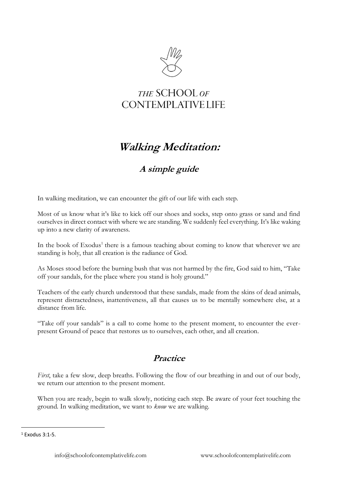

## THE SCHOOL OF **CONTEMPLATIVE LIFE**

## **Walking Meditation:**

## **A simple guide**

In walking meditation, we can encounter the gift of our life with each step.

Most of us know what it's like to kick off our shoes and socks, step onto grass or sand and find ourselves in direct contact with where we are standing. We suddenly feel everything. It's like waking up into a new clarity of awareness.

In the book of Exodus<sup>1</sup> there is a famous teaching about coming to know that wherever we are standing is holy, that all creation is the radiance of God.

As Moses stood before the burning bush that was not harmed by the fire, God said to him, "Take off your sandals, for the place where you stand is holy ground."

Teachers of the early church understood that these sandals, made from the skins of dead animals, represent distractedness, inattentiveness, all that causes us to be mentally somewhere else, at a distance from life.

"Take off your sandals" is a call to come home to the present moment, to encounter the everpresent Ground of peace that restores us to ourselves, each other, and all creation.

## **Practice**

*First*, take a few slow, deep breaths. Following the flow of our breathing in and out of our body, we return our attention to the present moment.

When you are ready, begin to walk slowly, noticing each step. Be aware of your feet touching the ground. In walking meditation, we want to *know* we are walking.

<sup>1</sup> Exodus 3:1-5.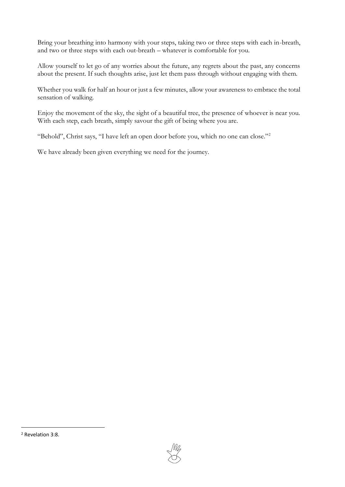Bring your breathing into harmony with your steps, taking two or three steps with each in-breath, and two or three steps with each out-breath – whatever is comfortable for you.

Allow yourself to let go of any worries about the future, any regrets about the past, any concerns about the present. If such thoughts arise, just let them pass through without engaging with them.

Whether you walk for half an hour or just a few minutes, allow your awareness to embrace the total sensation of walking.

Enjoy the movement of the sky, the sight of a beautiful tree, the presence of whoever is near you. With each step, each breath, simply savour the gift of being where you are.

"Behold", Christ says, "I have left an open door before you, which no one can close."<sup>2</sup>

We have already been given everything we need for the journey.



<sup>2</sup> Revelation 3:8.